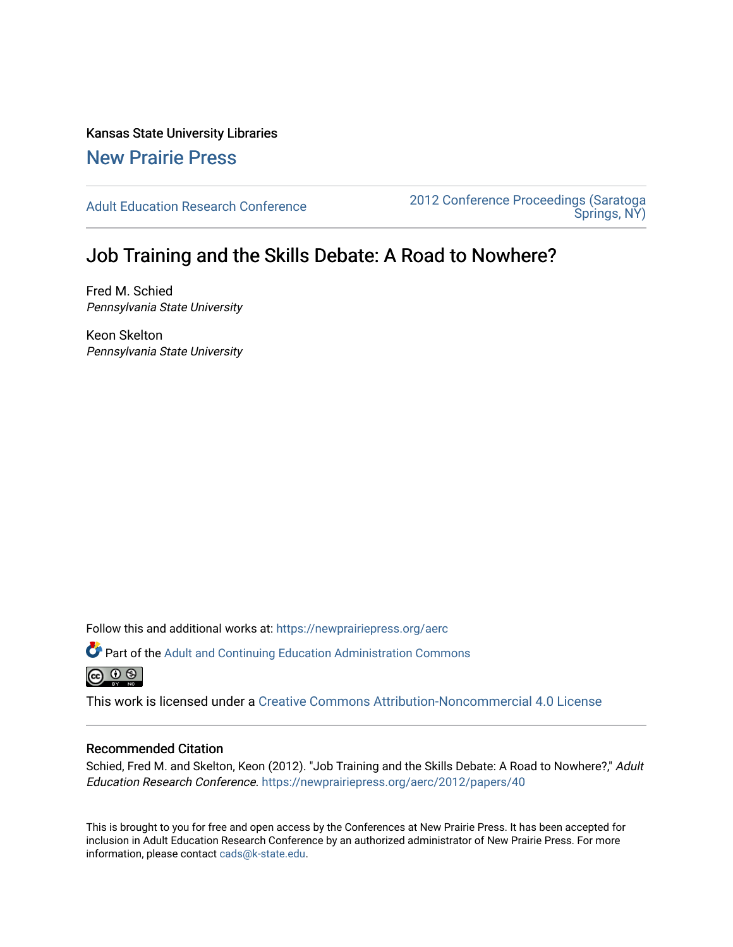Kansas State University Libraries [New Prairie Press](https://newprairiepress.org/) 

[Adult Education Research Conference](https://newprairiepress.org/aerc) [2012 Conference Proceedings \(Saratoga](https://newprairiepress.org/aerc/2012)  [Springs, NY\)](https://newprairiepress.org/aerc/2012) 

# Job Training and the Skills Debate: A Road to Nowhere?

Fred M. Schied Pennsylvania State University

Keon Skelton Pennsylvania State University

Follow this and additional works at: [https://newprairiepress.org/aerc](https://newprairiepress.org/aerc?utm_source=newprairiepress.org%2Faerc%2F2012%2Fpapers%2F40&utm_medium=PDF&utm_campaign=PDFCoverPages)

Part of the [Adult and Continuing Education Administration Commons](http://network.bepress.com/hgg/discipline/789?utm_source=newprairiepress.org%2Faerc%2F2012%2Fpapers%2F40&utm_medium=PDF&utm_campaign=PDFCoverPages) <u>ெ ெ ⊜</u>

This work is licensed under a [Creative Commons Attribution-Noncommercial 4.0 License](https://creativecommons.org/licenses/by-nc/4.0/)

# Recommended Citation

Schied, Fred M. and Skelton, Keon (2012). "Job Training and the Skills Debate: A Road to Nowhere?," Adult Education Research Conference. <https://newprairiepress.org/aerc/2012/papers/40>

This is brought to you for free and open access by the Conferences at New Prairie Press. It has been accepted for inclusion in Adult Education Research Conference by an authorized administrator of New Prairie Press. For more information, please contact [cads@k-state.edu](mailto:cads@k-state.edu).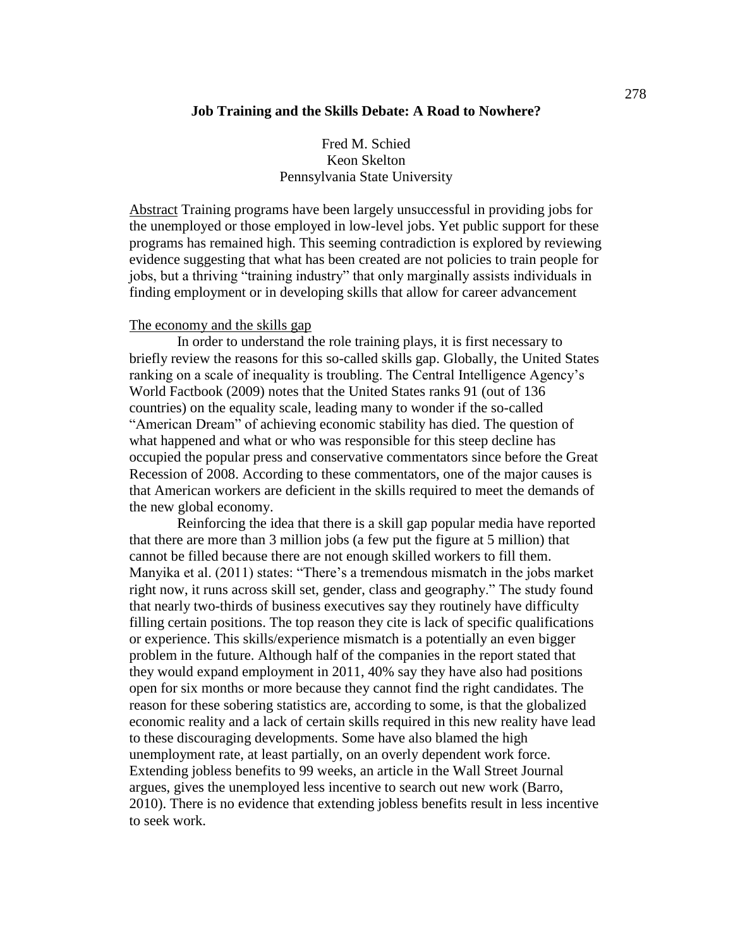# Fred M. Schied Keon Skelton Pennsylvania State University

Abstract Training programs have been largely unsuccessful in providing jobs for the unemployed or those employed in low-level jobs. Yet public support for these programs has remained high. This seeming contradiction is explored by reviewing evidence suggesting that what has been created are not policies to train people for jobs, but a thriving "training industry" that only marginally assists individuals in finding employment or in developing skills that allow for career advancement

#### The economy and the skills gap

In order to understand the role training plays, it is first necessary to briefly review the reasons for this so-called skills gap. Globally, the United States ranking on a scale of inequality is troubling. The Central Intelligence Agency's World Factbook (2009) notes that the United States ranks 91 (out of 136 countries) on the equality scale, leading many to wonder if the so-called "American Dream" of achieving economic stability has died. The question of what happened and what or who was responsible for this steep decline has occupied the popular press and conservative commentators since before the Great Recession of 2008. According to these commentators, one of the major causes is that American workers are deficient in the skills required to meet the demands of the new global economy.

Reinforcing the idea that there is a skill gap popular media have reported that there are more than 3 million jobs (a few put the figure at 5 million) that cannot be filled because there are not enough skilled workers to fill them. Manyika et al. (2011) states: "There's a tremendous mismatch in the jobs market right now, it runs across skill set, gender, class and geography." The study found that nearly two-thirds of business executives say they routinely have difficulty filling certain positions. The top reason they cite is lack of specific qualifications or experience. This skills/experience mismatch is a potentially an even bigger problem in the future. Although half of the companies in the report stated that they would expand employment in 2011, 40% say they have also had positions open for six months or more because they cannot find the right candidates. The reason for these sobering statistics are, according to some, is that the globalized economic reality and a lack of certain skills required in this new reality have lead to these discouraging developments. Some have also blamed the high unemployment rate, at least partially, on an overly dependent work force. Extending jobless benefits to 99 weeks, an article in the Wall Street Journal argues, gives the unemployed less incentive to search out new work (Barro, 2010). There is no evidence that extending jobless benefits result in less incentive to seek work.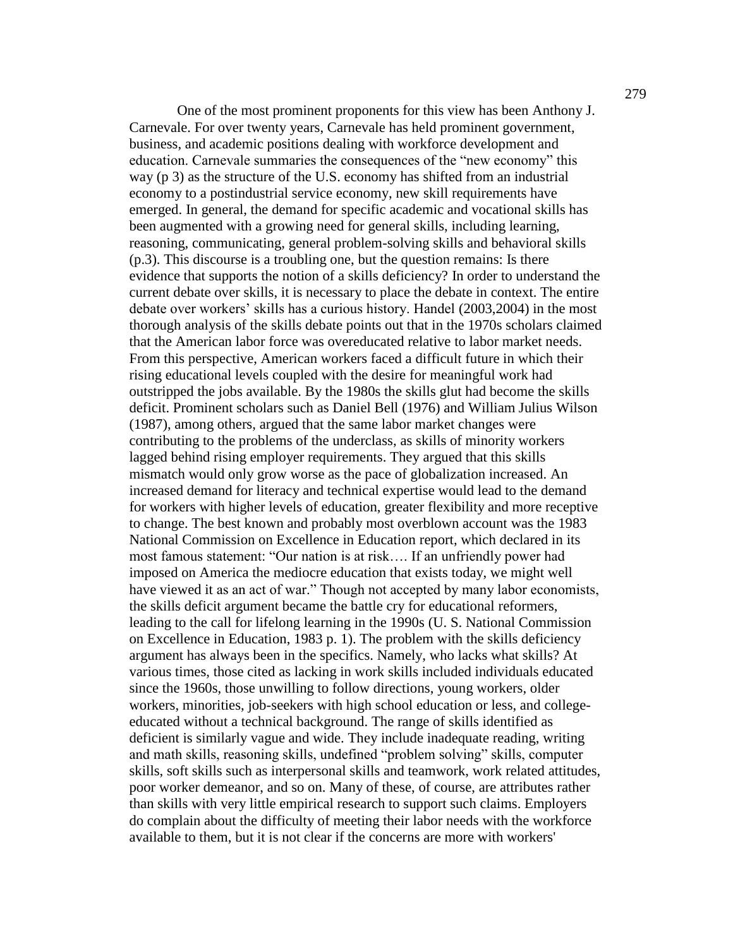One of the most prominent proponents for this view has been Anthony J. Carnevale. For over twenty years, Carnevale has held prominent government, business, and academic positions dealing with workforce development and education. Carnevale summaries the consequences of the "new economy" this way (p 3) as the structure of the U.S. economy has shifted from an industrial economy to a postindustrial service economy, new skill requirements have emerged. In general, the demand for specific academic and vocational skills has been augmented with a growing need for general skills, including learning, reasoning, communicating, general problem-solving skills and behavioral skills (p.3). This discourse is a troubling one, but the question remains: Is there evidence that supports the notion of a skills deficiency? In order to understand the current debate over skills, it is necessary to place the debate in context. The entire debate over workers' skills has a curious history. Handel (2003,2004) in the most thorough analysis of the skills debate points out that in the 1970s scholars claimed that the American labor force was overeducated relative to labor market needs. From this perspective, American workers faced a difficult future in which their rising educational levels coupled with the desire for meaningful work had outstripped the jobs available. By the 1980s the skills glut had become the skills deficit. Prominent scholars such as Daniel Bell (1976) and William Julius Wilson (1987), among others, argued that the same labor market changes were contributing to the problems of the underclass, as skills of minority workers lagged behind rising employer requirements. They argued that this skills mismatch would only grow worse as the pace of globalization increased. An increased demand for literacy and technical expertise would lead to the demand for workers with higher levels of education, greater flexibility and more receptive to change. The best known and probably most overblown account was the 1983 National Commission on Excellence in Education report, which declared in its most famous statement: "Our nation is at risk.... If an unfriendly power had imposed on America the mediocre education that exists today, we might well have viewed it as an act of war." Though not accepted by many labor economists, the skills deficit argument became the battle cry for educational reformers, leading to the call for lifelong learning in the 1990s (U. S. National Commission on Excellence in Education, 1983 p. 1). The problem with the skills deficiency argument has always been in the specifics. Namely, who lacks what skills? At various times, those cited as lacking in work skills included individuals educated since the 1960s, those unwilling to follow directions, young workers, older workers, minorities, job-seekers with high school education or less, and collegeeducated without a technical background. The range of skills identified as deficient is similarly vague and wide. They include inadequate reading, writing and math skills, reasoning skills, undefined "problem solving" skills, computer skills, soft skills such as interpersonal skills and teamwork, work related attitudes, poor worker demeanor, and so on. Many of these, of course, are attributes rather than skills with very little empirical research to support such claims. Employers do complain about the difficulty of meeting their labor needs with the workforce available to them, but it is not clear if the concerns are more with workers'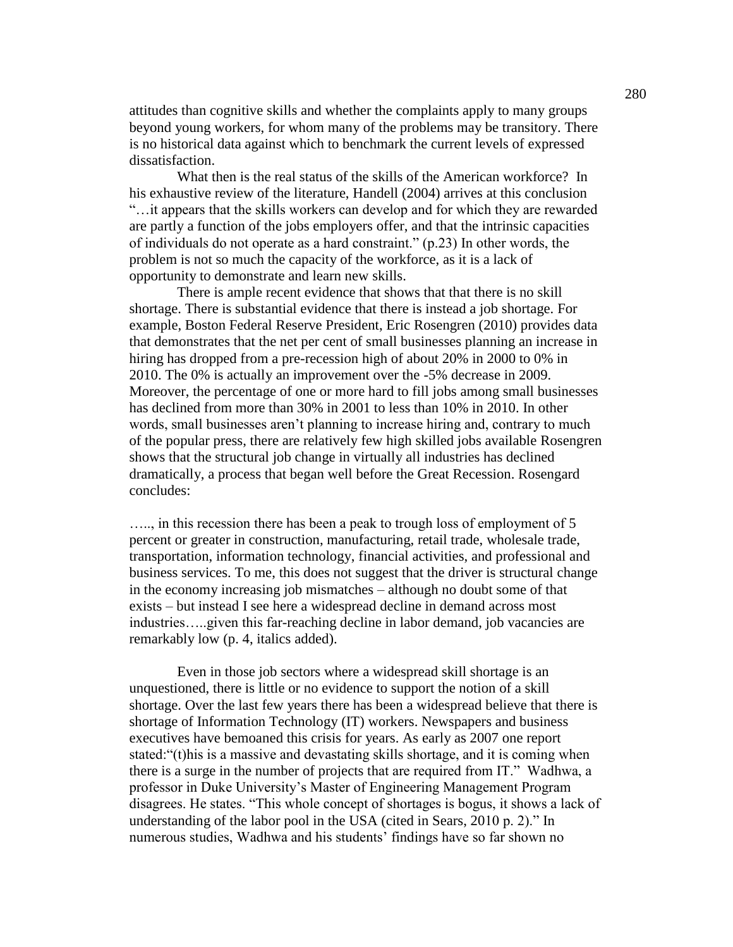attitudes than cognitive skills and whether the complaints apply to many groups beyond young workers, for whom many of the problems may be transitory. There is no historical data against which to benchmark the current levels of expressed dissatisfaction.

What then is the real status of the skills of the American workforce? In his exhaustive review of the literature, Handell (2004) arrives at this conclusion ―…it appears that the skills workers can develop and for which they are rewarded are partly a function of the jobs employers offer, and that the intrinsic capacities of individuals do not operate as a hard constraint."  $(p.23)$  In other words, the problem is not so much the capacity of the workforce, as it is a lack of opportunity to demonstrate and learn new skills.

There is ample recent evidence that shows that that there is no skill shortage. There is substantial evidence that there is instead a job shortage. For example, Boston Federal Reserve President, Eric Rosengren (2010) provides data that demonstrates that the net per cent of small businesses planning an increase in hiring has dropped from a pre-recession high of about 20% in 2000 to 0% in 2010. The 0% is actually an improvement over the -5% decrease in 2009. Moreover, the percentage of one or more hard to fill jobs among small businesses has declined from more than 30% in 2001 to less than 10% in 2010. In other words, small businesses aren't planning to increase hiring and, contrary to much of the popular press, there are relatively few high skilled jobs available Rosengren shows that the structural job change in virtually all industries has declined dramatically, a process that began well before the Great Recession. Rosengard concludes:

….., in this recession there has been a peak to trough loss of employment of 5 percent or greater in construction, manufacturing, retail trade, wholesale trade, transportation, information technology, financial activities, and professional and business services. To me, this does not suggest that the driver is structural change in the economy increasing job mismatches – although no doubt some of that exists – but instead I see here a widespread decline in demand across most industries…..given this far-reaching decline in labor demand, job vacancies are remarkably low (p. 4, italics added).

Even in those job sectors where a widespread skill shortage is an unquestioned, there is little or no evidence to support the notion of a skill shortage. Over the last few years there has been a widespread believe that there is shortage of Information Technology (IT) workers. Newspapers and business executives have bemoaned this crisis for years. As early as 2007 one report stated: "(t)his is a massive and devastating skills shortage, and it is coming when there is a surge in the number of projects that are required from IT." Wadhwa, a professor in Duke University's Master of Engineering Management Program disagrees. He states. "This whole concept of shortages is bogus, it shows a lack of understanding of the labor pool in the USA (cited in Sears,  $2010$  p. 2)." In numerous studies, Wadhwa and his students' findings have so far shown no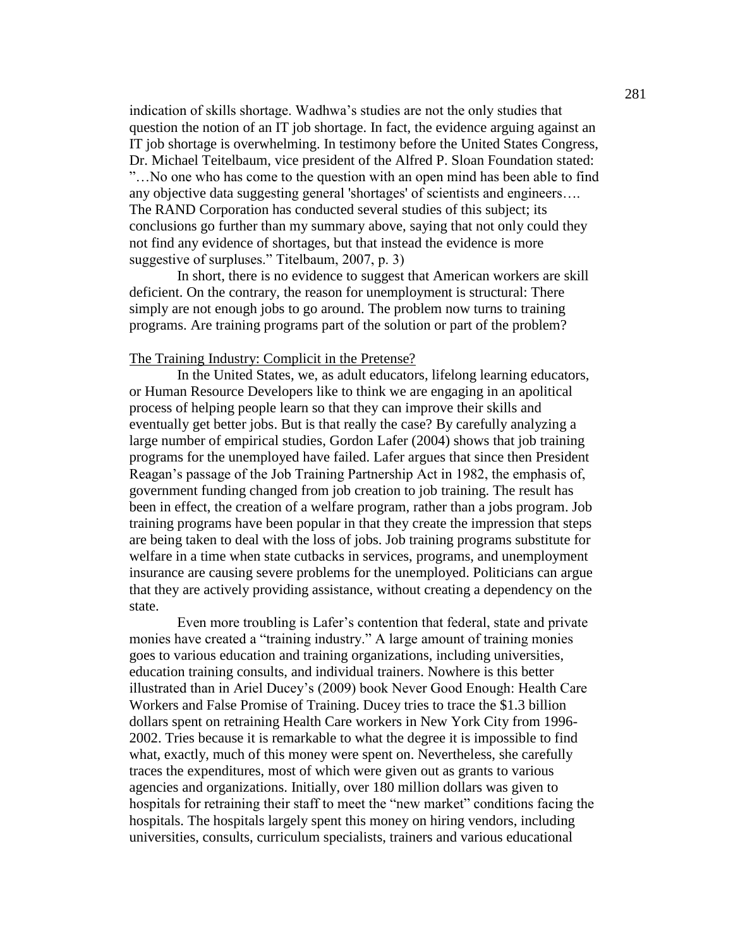indication of skills shortage. Wadhwa's studies are not the only studies that question the notion of an IT job shortage. In fact, the evidence arguing against an IT job shortage is overwhelming. In testimony before the United States Congress, Dr. Michael Teitelbaum, vice president of the Alfred P. Sloan Foundation stated: ‖…No one who has come to the question with an open mind has been able to find any objective data suggesting general 'shortages' of scientists and engineers…. The RAND Corporation has conducted several studies of this subject; its conclusions go further than my summary above, saying that not only could they not find any evidence of shortages, but that instead the evidence is more suggestive of surpluses." Titelbaum, 2007, p. 3)

In short, there is no evidence to suggest that American workers are skill deficient. On the contrary, the reason for unemployment is structural: There simply are not enough jobs to go around. The problem now turns to training programs. Are training programs part of the solution or part of the problem?

## The Training Industry: Complicit in the Pretense?

In the United States, we, as adult educators, lifelong learning educators, or Human Resource Developers like to think we are engaging in an apolitical process of helping people learn so that they can improve their skills and eventually get better jobs. But is that really the case? By carefully analyzing a large number of empirical studies, Gordon Lafer (2004) shows that job training programs for the unemployed have failed. Lafer argues that since then President Reagan's passage of the Job Training Partnership Act in 1982, the emphasis of, government funding changed from job creation to job training. The result has been in effect, the creation of a welfare program, rather than a jobs program. Job training programs have been popular in that they create the impression that steps are being taken to deal with the loss of jobs. Job training programs substitute for welfare in a time when state cutbacks in services, programs, and unemployment insurance are causing severe problems for the unemployed. Politicians can argue that they are actively providing assistance, without creating a dependency on the state.

Even more troubling is Lafer's contention that federal, state and private monies have created a "training industry." A large amount of training monies goes to various education and training organizations, including universities, education training consults, and individual trainers. Nowhere is this better illustrated than in Ariel Ducey's (2009) book Never Good Enough: Health Care Workers and False Promise of Training. Ducey tries to trace the \$1.3 billion dollars spent on retraining Health Care workers in New York City from 1996- 2002. Tries because it is remarkable to what the degree it is impossible to find what, exactly, much of this money were spent on. Nevertheless, she carefully traces the expenditures, most of which were given out as grants to various agencies and organizations. Initially, over 180 million dollars was given to hospitals for retraining their staff to meet the "new market" conditions facing the hospitals. The hospitals largely spent this money on hiring vendors, including universities, consults, curriculum specialists, trainers and various educational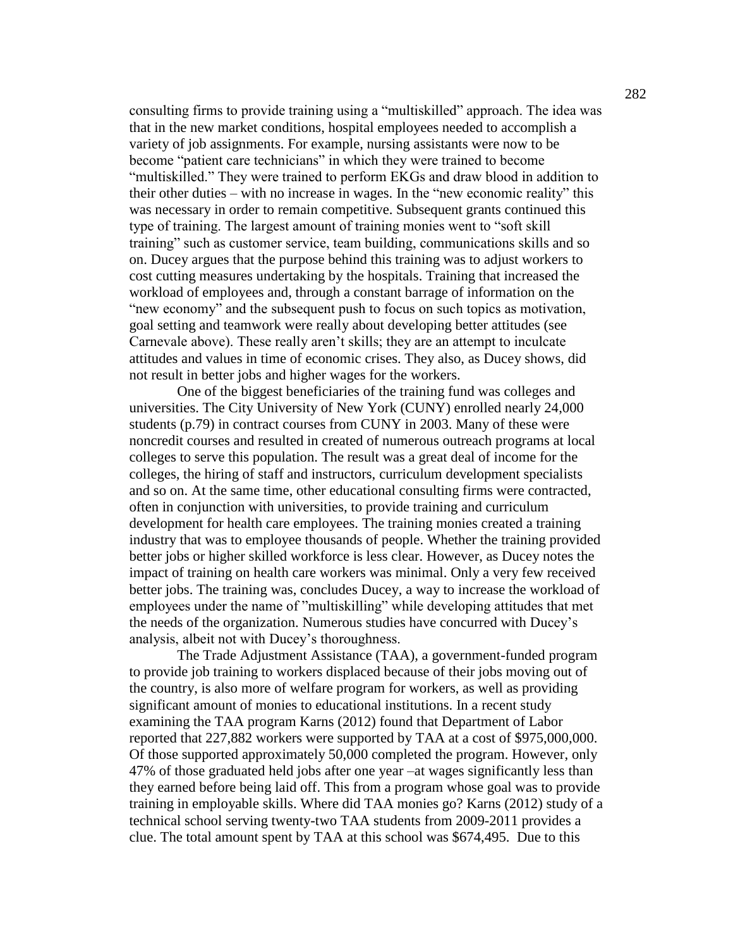consulting firms to provide training using a "multiskilled" approach. The idea was that in the new market conditions, hospital employees needed to accomplish a variety of job assignments. For example, nursing assistants were now to be become "patient care technicians" in which they were trained to become "multiskilled." They were trained to perform EKGs and draw blood in addition to their other duties – with no increase in wages. In the "new economic reality" this was necessary in order to remain competitive. Subsequent grants continued this type of training. The largest amount of training monies went to "soft skill" training" such as customer service, team building, communications skills and so on. Ducey argues that the purpose behind this training was to adjust workers to cost cutting measures undertaking by the hospitals. Training that increased the workload of employees and, through a constant barrage of information on the "new economy" and the subsequent push to focus on such topics as motivation, goal setting and teamwork were really about developing better attitudes (see Carnevale above). These really aren't skills; they are an attempt to inculcate attitudes and values in time of economic crises. They also, as Ducey shows, did not result in better jobs and higher wages for the workers.

One of the biggest beneficiaries of the training fund was colleges and universities. The City University of New York (CUNY) enrolled nearly 24,000 students (p.79) in contract courses from CUNY in 2003. Many of these were noncredit courses and resulted in created of numerous outreach programs at local colleges to serve this population. The result was a great deal of income for the colleges, the hiring of staff and instructors, curriculum development specialists and so on. At the same time, other educational consulting firms were contracted, often in conjunction with universities, to provide training and curriculum development for health care employees. The training monies created a training industry that was to employee thousands of people. Whether the training provided better jobs or higher skilled workforce is less clear. However, as Ducey notes the impact of training on health care workers was minimal. Only a very few received better jobs. The training was, concludes Ducey, a way to increase the workload of employees under the name of "multiskilling" while developing attitudes that met the needs of the organization. Numerous studies have concurred with Ducey's analysis, albeit not with Ducey's thoroughness.

The Trade Adjustment Assistance (TAA), a government-funded program to provide job training to workers displaced because of their jobs moving out of the country, is also more of welfare program for workers, as well as providing significant amount of monies to educational institutions. In a recent study examining the TAA program Karns (2012) found that Department of Labor reported that 227,882 workers were supported by TAA at a cost of \$975,000,000. Of those supported approximately 50,000 completed the program. However, only 47% of those graduated held jobs after one year –at wages significantly less than they earned before being laid off. This from a program whose goal was to provide training in employable skills. Where did TAA monies go? Karns (2012) study of a technical school serving twenty-two TAA students from 2009-2011 provides a clue. The total amount spent by TAA at this school was \$674,495. Due to this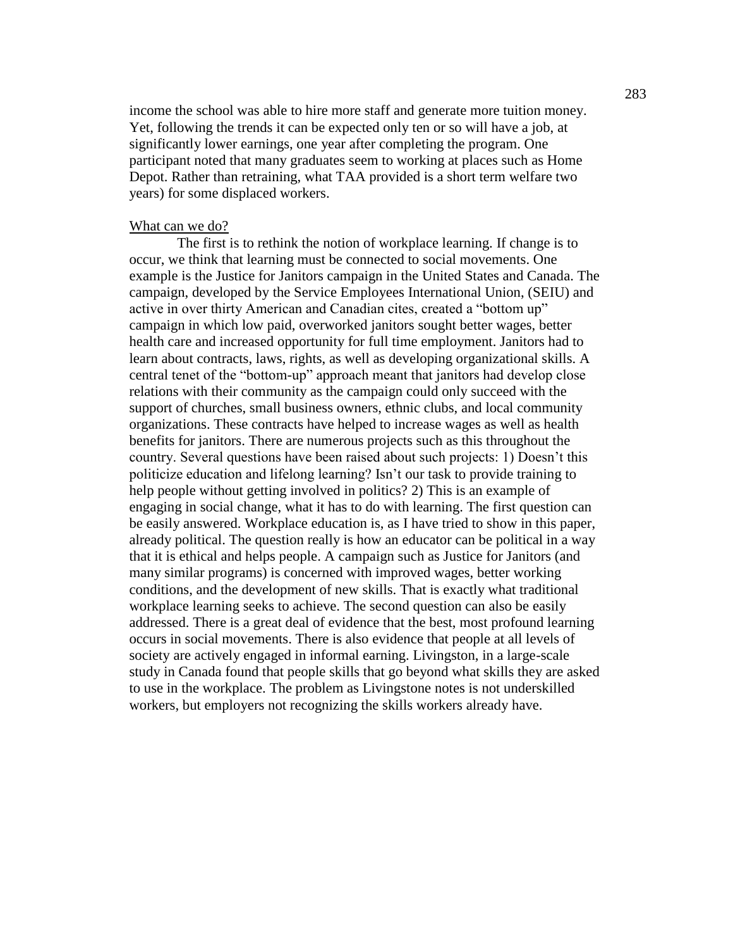income the school was able to hire more staff and generate more tuition money. Yet, following the trends it can be expected only ten or so will have a job, at significantly lower earnings, one year after completing the program. One participant noted that many graduates seem to working at places such as Home Depot. Rather than retraining, what TAA provided is a short term welfare two years) for some displaced workers.

### What can we do?

The first is to rethink the notion of workplace learning. If change is to occur, we think that learning must be connected to social movements. One example is the Justice for Janitors campaign in the United States and Canada. The campaign, developed by the Service Employees International Union, (SEIU) and active in over thirty American and Canadian cites, created a "bottom up" campaign in which low paid, overworked janitors sought better wages, better health care and increased opportunity for full time employment. Janitors had to learn about contracts, laws, rights, as well as developing organizational skills. A central tenet of the "bottom-up" approach meant that janitors had develop close relations with their community as the campaign could only succeed with the support of churches, small business owners, ethnic clubs, and local community organizations. These contracts have helped to increase wages as well as health benefits for janitors. There are numerous projects such as this throughout the country. Several questions have been raised about such projects: 1) Doesn't this politicize education and lifelong learning? Isn't our task to provide training to help people without getting involved in politics? 2) This is an example of engaging in social change, what it has to do with learning. The first question can be easily answered. Workplace education is, as I have tried to show in this paper, already political. The question really is how an educator can be political in a way that it is ethical and helps people. A campaign such as Justice for Janitors (and many similar programs) is concerned with improved wages, better working conditions, and the development of new skills. That is exactly what traditional workplace learning seeks to achieve. The second question can also be easily addressed. There is a great deal of evidence that the best, most profound learning occurs in social movements. There is also evidence that people at all levels of society are actively engaged in informal earning. Livingston, in a large-scale study in Canada found that people skills that go beyond what skills they are asked to use in the workplace. The problem as Livingstone notes is not underskilled workers, but employers not recognizing the skills workers already have.